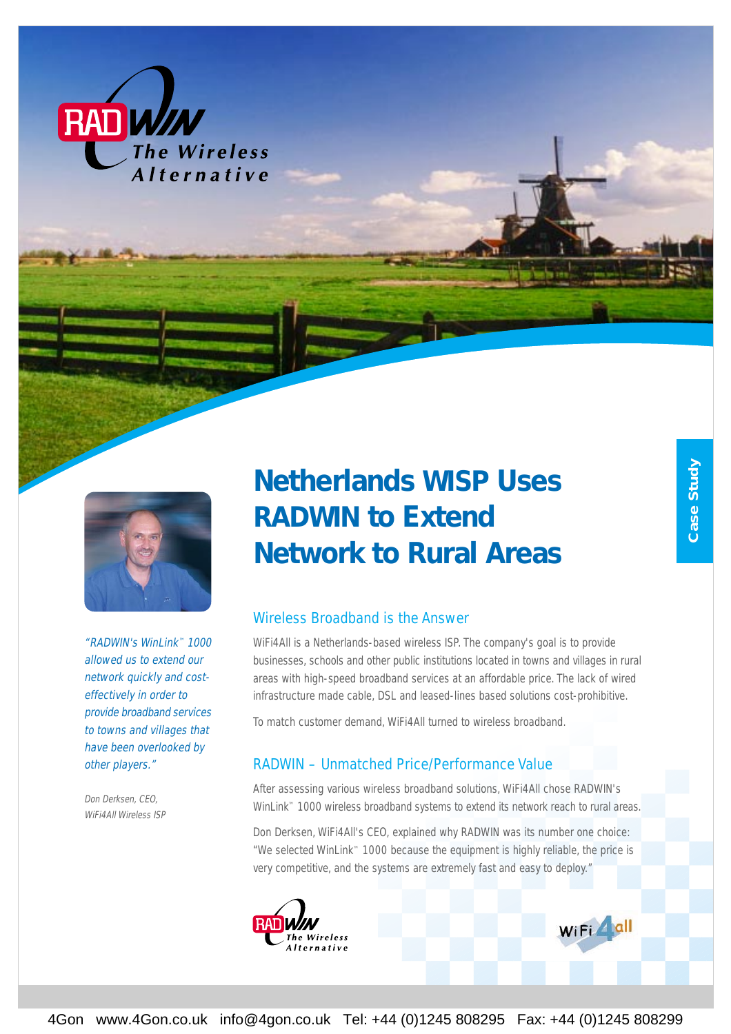



"RADWIN's WinLink™ 1000 allowed us to extend our network quickly and costeffectively in order to provide broadband services to towns and villages that have been overlooked by other players."

Don Derksen, CEO, WiFi4All Wireless ISP

# *Netherlands WISP Uses RADWIN to Extend Network to Rural Areas*

#### Wireless Broadband is the Answer

WiFi4All is a Netherlands-based wireless ISP. The company's goal is to provide businesses, schools and other public institutions located in towns and villages in rural areas with high-speed broadband services at an affordable price. The lack of wired infrastructure made cable, DSL and leased-lines based solutions cost-prohibitive.

To match customer demand, WiFi4All turned to wireless broadband.

#### RADWIN – Unmatched Price/Performance Value

After assessing various wireless broadband solutions, WiFi4All chose RADWIN's WinLink™ 1000 wireless broadband systems to extend its network reach to rural areas.

Don Derksen, WiFi4All's CEO, explained why RADWIN was its number one choice: "We selected WinLink™ 1000 because the equipment is highly reliable, the price is very competitive, and the systems are extremely fast and easy to deploy."

WiFi dll